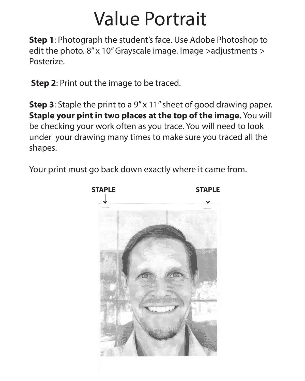**Step 1**: Photograph the student's face. Use Adobe Photoshop to edit the photo. 8" x 10" Grayscale image. Image >adjustments > Posterize.

**Step 2**: Print out the image to be traced.

**Step 3**: Staple the print to a 9" x 11" sheet of good drawing paper. **Staple your pint in two places at the top of the image.** You will be checking your work often as you trace. You will need to look under your drawing many times to make sure you traced all the shapes.

Your print must go back down exactly where it came from.

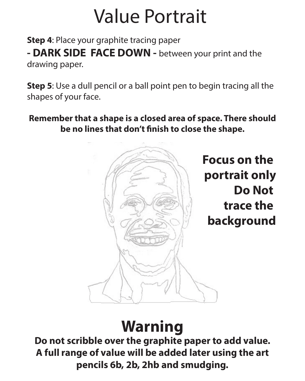**Step 4**: Place your graphite tracing paper **- DARK SIDE FACE DOWN -** between your print and the drawing paper.

**Step 5**: Use a dull pencil or a ball point pen to begin tracing all the shapes of your face.

**Remember that a shape is a closed area of space. There should**  be no lines that don't finish to close the shape.



**Focus on the portrait only Do Not trace the background**

### **Warning**

**Do not scribble over the graphite paper to add value. A full range of value will be added later using the art pencils 6b, 2b, 2hb and smudging.**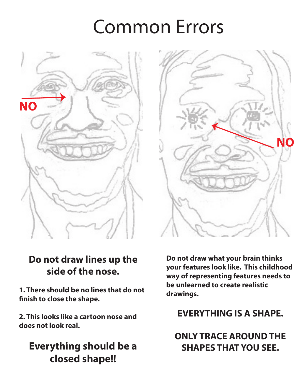### Common Errors



#### **Do not draw lines up the side of the nose.**

**1. There should be no lines that do not nish to close the shape.**

**2. This looks like a cartoon nose and does not look real.**

#### **Everything should be a closed shape!!**



**Do not draw what your brain thinks your features look like. This childhood way of representing features needs to be unlearned to create realistic drawings.**

**EVERYTHING IS A SHAPE.** 

**ONLY TRACE AROUND THE SHAPES THAT YOU SEE.**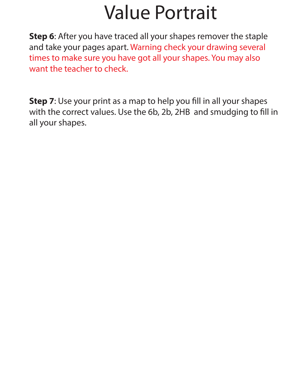**Step 6**: After you have traced all your shapes remover the staple and take your pages apart. Warning check your drawing several times to make sure you have got all your shapes. You may also want the teacher to check.

**Step 7:** Use your print as a map to help you fill in all your shapes with the correct values. Use the 6b, 2b, 2HB and smudging to fill in all your shapes.